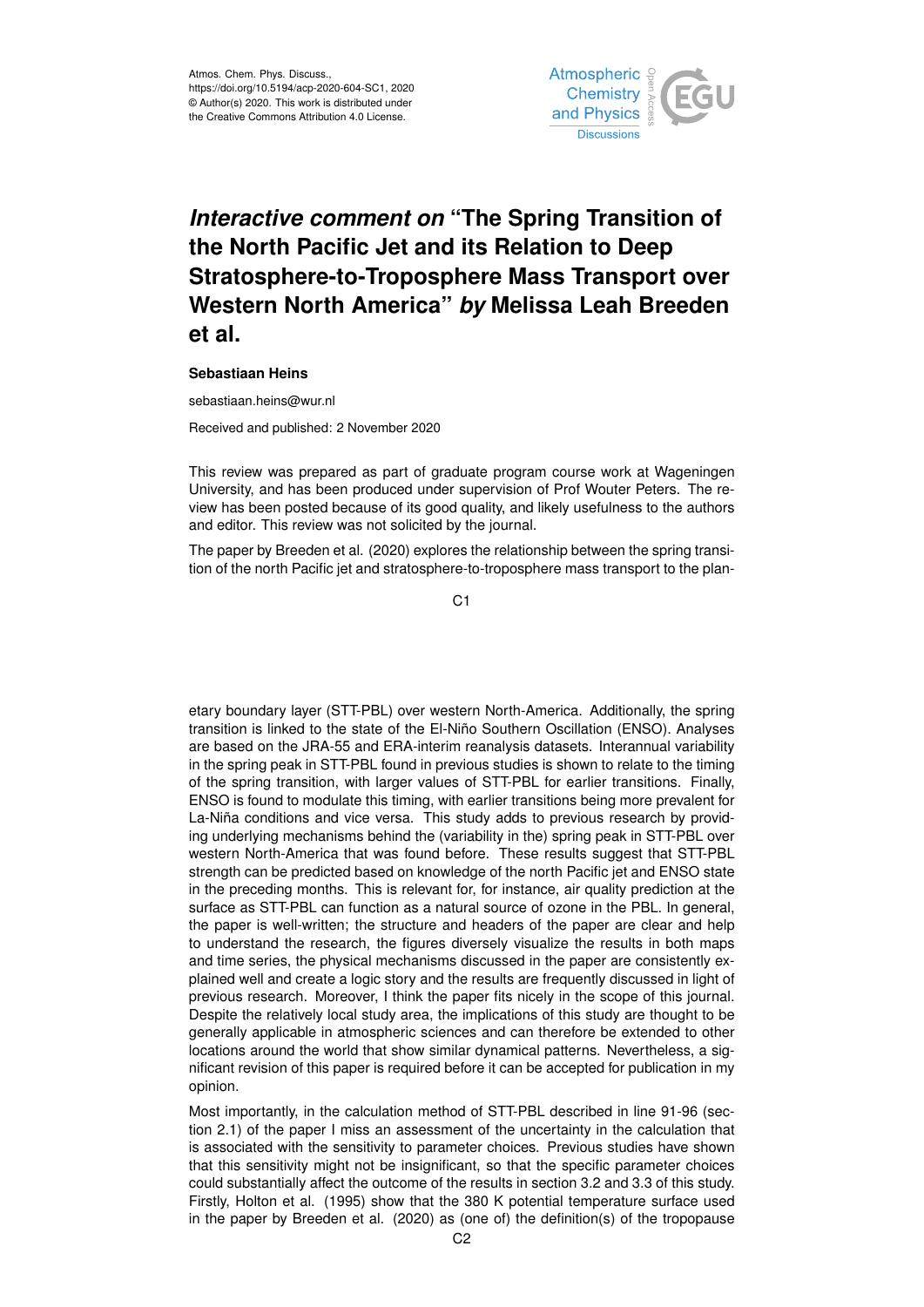

## *Interactive comment on* **"The Spring Transition of the North Pacific Jet and its Relation to Deep Stratosphere-to-Troposphere Mass Transport over Western North America"** *by* **Melissa Leah Breeden et al.**

## **Sebastiaan Heins**

sebastiaan.heins@wur.nl

Received and published: 2 November 2020

This review was prepared as part of graduate program course work at Wageningen University, and has been produced under supervision of Prof Wouter Peters. The review has been posted because of its good quality, and likely usefulness to the authors and editor. This review was not solicited by the journal.

The paper by Breeden et al. (2020) explores the relationship between the spring transition of the north Pacific jet and stratosphere-to-troposphere mass transport to the plan-

 $C<sub>1</sub>$ 

etary boundary layer (STT-PBL) over western North-America. Additionally, the spring transition is linked to the state of the El-Niño Southern Oscillation (ENSO). Analyses are based on the JRA-55 and ERA-interim reanalysis datasets. Interannual variability in the spring peak in STT-PBL found in previous studies is shown to relate to the timing of the spring transition, with larger values of STT-PBL for earlier transitions. Finally, ENSO is found to modulate this timing, with earlier transitions being more prevalent for La-Niña conditions and vice versa. This study adds to previous research by providing underlying mechanisms behind the (variability in the) spring peak in STT-PBL over western North-America that was found before. These results suggest that STT-PBL strength can be predicted based on knowledge of the north Pacific jet and ENSO state in the preceding months. This is relevant for, for instance, air quality prediction at the surface as STT-PBL can function as a natural source of ozone in the PBL. In general, the paper is well-written; the structure and headers of the paper are clear and help to understand the research, the figures diversely visualize the results in both maps and time series, the physical mechanisms discussed in the paper are consistently explained well and create a logic story and the results are frequently discussed in light of previous research. Moreover, I think the paper fits nicely in the scope of this journal. Despite the relatively local study area, the implications of this study are thought to be generally applicable in atmospheric sciences and can therefore be extended to other locations around the world that show similar dynamical patterns. Nevertheless, a significant revision of this paper is required before it can be accepted for publication in my opinion.

Most importantly, in the calculation method of STT-PBL described in line 91-96 (section 2.1) of the paper I miss an assessment of the uncertainty in the calculation that is associated with the sensitivity to parameter choices. Previous studies have shown that this sensitivity might not be insignificant, so that the specific parameter choices could substantially affect the outcome of the results in section 3.2 and 3.3 of this study. Firstly, Holton et al. (1995) show that the 380 K potential temperature surface used in the paper by Breeden et al. (2020) as (one of) the definition(s) of the tropopause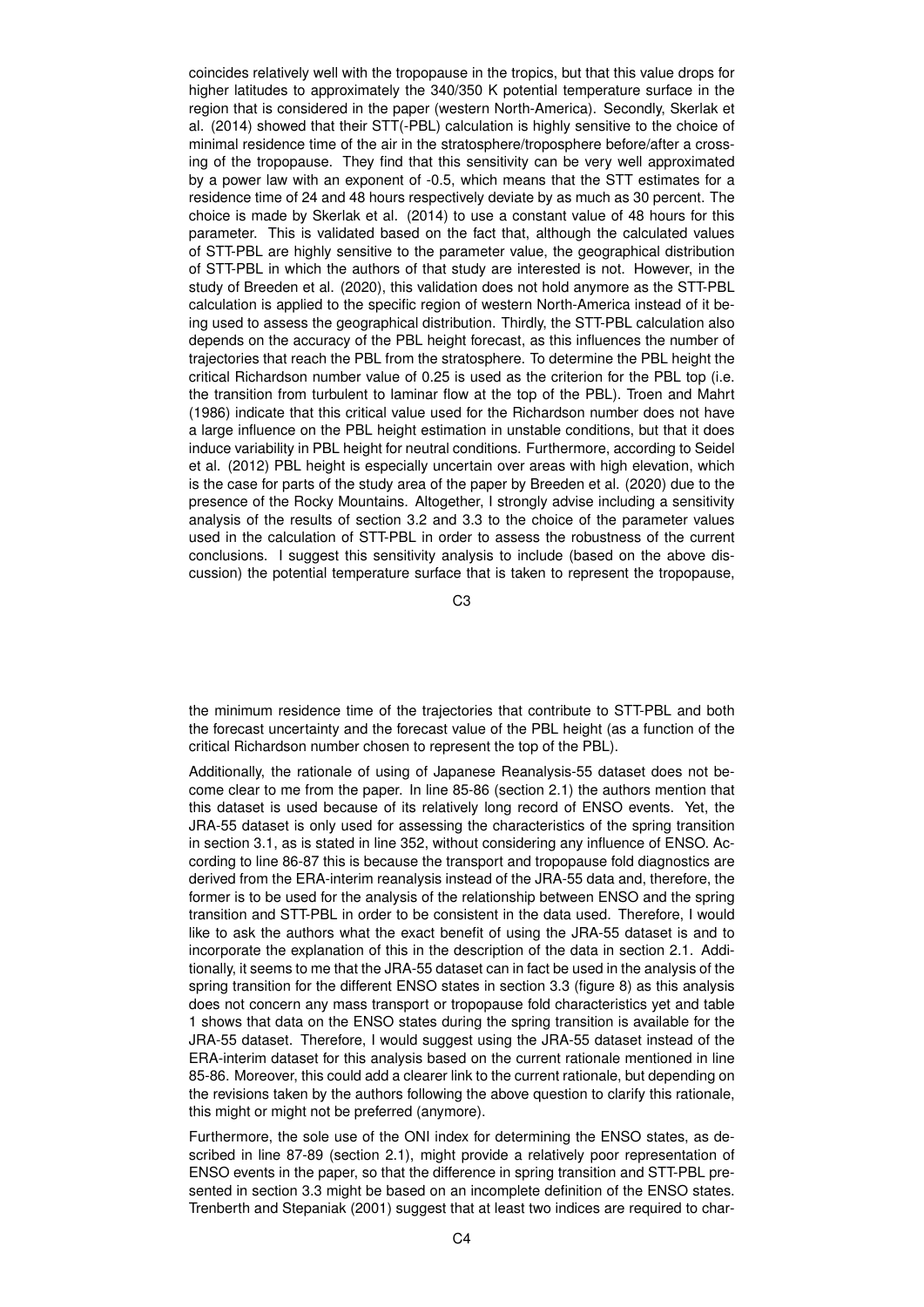coincides relatively well with the tropopause in the tropics, but that this value drops for higher latitudes to approximately the 340/350 K potential temperature surface in the region that is considered in the paper (western North-America). Secondly, Skerlak et al. (2014) showed that their STT(-PBL) calculation is highly sensitive to the choice of minimal residence time of the air in the stratosphere/troposphere before/after a crossing of the tropopause. They find that this sensitivity can be very well approximated by a power law with an exponent of -0.5, which means that the STT estimates for a residence time of 24 and 48 hours respectively deviate by as much as 30 percent. The choice is made by Skerlak et al. (2014) to use a constant value of 48 hours for this parameter. This is validated based on the fact that, although the calculated values of STT-PBL are highly sensitive to the parameter value, the geographical distribution of STT-PBL in which the authors of that study are interested is not. However, in the study of Breeden et al. (2020), this validation does not hold anymore as the STT-PBL calculation is applied to the specific region of western North-America instead of it being used to assess the geographical distribution. Thirdly, the STT-PBL calculation also depends on the accuracy of the PBL height forecast, as this influences the number of trajectories that reach the PBL from the stratosphere. To determine the PBL height the critical Richardson number value of 0.25 is used as the criterion for the PBL top (i.e. the transition from turbulent to laminar flow at the top of the PBL). Troen and Mahrt (1986) indicate that this critical value used for the Richardson number does not have a large influence on the PBL height estimation in unstable conditions, but that it does induce variability in PBL height for neutral conditions. Furthermore, according to Seidel et al. (2012) PBL height is especially uncertain over areas with high elevation, which is the case for parts of the study area of the paper by Breeden et al. (2020) due to the presence of the Rocky Mountains. Altogether, I strongly advise including a sensitivity analysis of the results of section 3.2 and 3.3 to the choice of the parameter values used in the calculation of STT-PBL in order to assess the robustness of the current conclusions. I suggest this sensitivity analysis to include (based on the above discussion) the potential temperature surface that is taken to represent the tropopause,

C3

the minimum residence time of the trajectories that contribute to STT-PBL and both the forecast uncertainty and the forecast value of the PBL height (as a function of the critical Richardson number chosen to represent the top of the PBL).

Additionally, the rationale of using of Japanese Reanalysis-55 dataset does not become clear to me from the paper. In line 85-86 (section 2.1) the authors mention that this dataset is used because of its relatively long record of ENSO events. Yet, the JRA-55 dataset is only used for assessing the characteristics of the spring transition in section 3.1, as is stated in line 352, without considering any influence of ENSO. According to line 86-87 this is because the transport and tropopause fold diagnostics are derived from the ERA-interim reanalysis instead of the JRA-55 data and, therefore, the former is to be used for the analysis of the relationship between ENSO and the spring transition and STT-PBL in order to be consistent in the data used. Therefore, I would like to ask the authors what the exact benefit of using the JRA-55 dataset is and to incorporate the explanation of this in the description of the data in section 2.1. Additionally, it seems to me that the JRA-55 dataset can in fact be used in the analysis of the spring transition for the different ENSO states in section 3.3 (figure 8) as this analysis does not concern any mass transport or tropopause fold characteristics yet and table 1 shows that data on the ENSO states during the spring transition is available for the JRA-55 dataset. Therefore, I would suggest using the JRA-55 dataset instead of the ERA-interim dataset for this analysis based on the current rationale mentioned in line 85-86. Moreover, this could add a clearer link to the current rationale, but depending on the revisions taken by the authors following the above question to clarify this rationale, this might or might not be preferred (anymore).

Furthermore, the sole use of the ONI index for determining the ENSO states, as described in line 87-89 (section 2.1), might provide a relatively poor representation of ENSO events in the paper, so that the difference in spring transition and STT-PBL presented in section 3.3 might be based on an incomplete definition of the ENSO states. Trenberth and Stepaniak (2001) suggest that at least two indices are required to char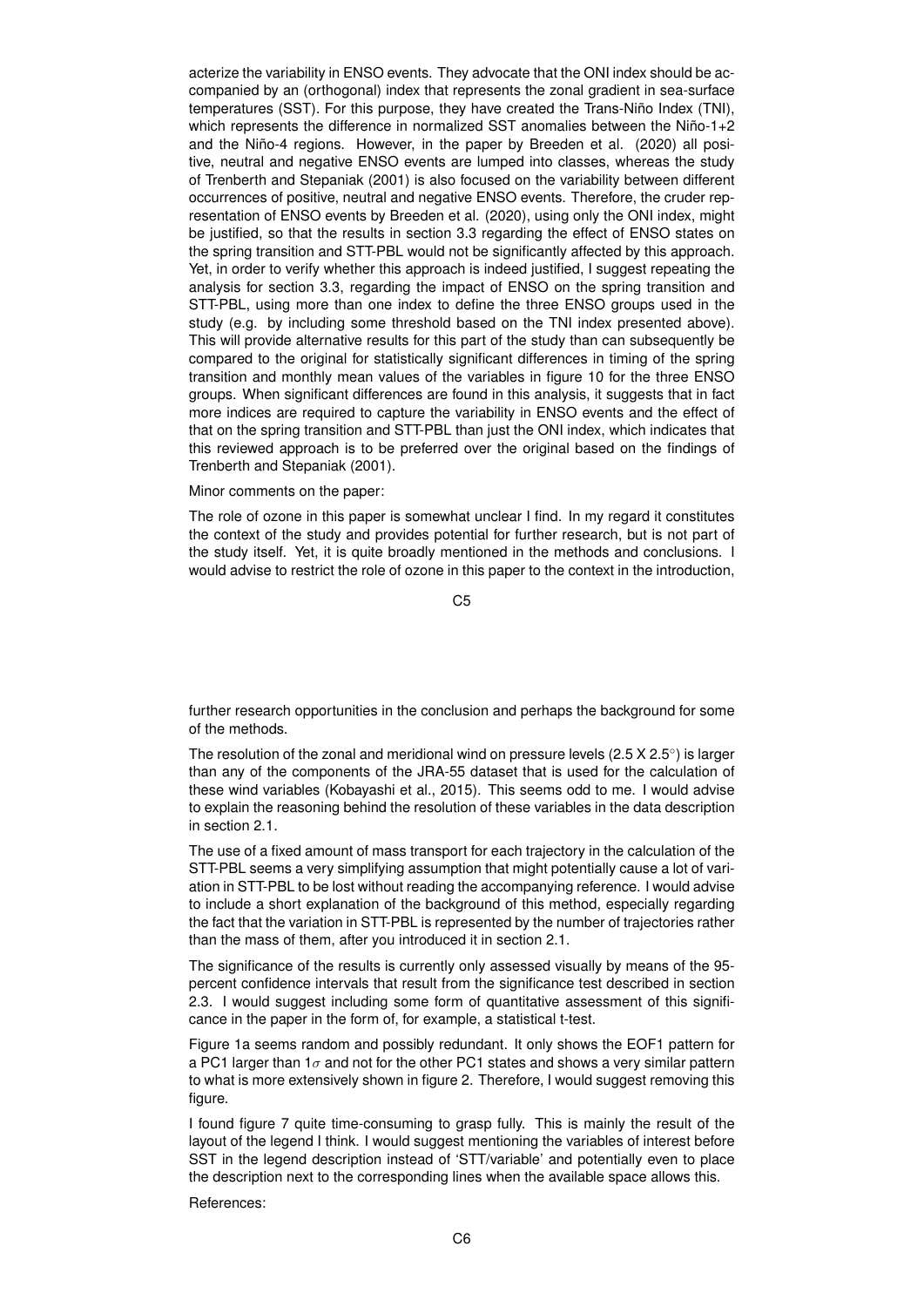acterize the variability in ENSO events. They advocate that the ONI index should be accompanied by an (orthogonal) index that represents the zonal gradient in sea-surface temperatures (SST). For this purpose, they have created the Trans-Niño Index (TNI), which represents the difference in normalized SST anomalies between the Niño-1+2 and the Niño-4 regions. However, in the paper by Breeden et al. (2020) all positive, neutral and negative ENSO events are lumped into classes, whereas the study of Trenberth and Stepaniak (2001) is also focused on the variability between different occurrences of positive, neutral and negative ENSO events. Therefore, the cruder representation of ENSO events by Breeden et al. (2020), using only the ONI index, might be justified, so that the results in section 3.3 regarding the effect of ENSO states on the spring transition and STT-PBL would not be significantly affected by this approach. Yet, in order to verify whether this approach is indeed justified, I suggest repeating the analysis for section 3.3, regarding the impact of ENSO on the spring transition and STT-PBL, using more than one index to define the three ENSO groups used in the study (e.g. by including some threshold based on the TNI index presented above). This will provide alternative results for this part of the study than can subsequently be compared to the original for statistically significant differences in timing of the spring transition and monthly mean values of the variables in figure 10 for the three ENSO groups. When significant differences are found in this analysis, it suggests that in fact more indices are required to capture the variability in ENSO events and the effect of that on the spring transition and STT-PBL than just the ONI index, which indicates that this reviewed approach is to be preferred over the original based on the findings of Trenberth and Stepaniak (2001).

## Minor comments on the paper:

The role of ozone in this paper is somewhat unclear I find. In my regard it constitutes the context of the study and provides potential for further research, but is not part of the study itself. Yet, it is quite broadly mentioned in the methods and conclusions. I would advise to restrict the role of ozone in this paper to the context in the introduction,

C5

further research opportunities in the conclusion and perhaps the background for some of the methods.

The resolution of the zonal and meridional wind on pressure levels (2.5 X 2.5 $^{\circ}$ ) is larger than any of the components of the JRA-55 dataset that is used for the calculation of these wind variables (Kobayashi et al., 2015). This seems odd to me. I would advise to explain the reasoning behind the resolution of these variables in the data description in section 2.1.

The use of a fixed amount of mass transport for each trajectory in the calculation of the STT-PBL seems a very simplifying assumption that might potentially cause a lot of variation in STT-PBL to be lost without reading the accompanying reference. I would advise to include a short explanation of the background of this method, especially regarding the fact that the variation in STT-PBL is represented by the number of trajectories rather than the mass of them, after you introduced it in section 2.1.

The significance of the results is currently only assessed visually by means of the 95 percent confidence intervals that result from the significance test described in section 2.3. I would suggest including some form of quantitative assessment of this significance in the paper in the form of, for example, a statistical t-test.

Figure 1a seems random and possibly redundant. It only shows the EOF1 pattern for a PC1 larger than  $1\sigma$  and not for the other PC1 states and shows a very similar pattern to what is more extensively shown in figure 2. Therefore, I would suggest removing this figure.

I found figure 7 quite time-consuming to grasp fully. This is mainly the result of the layout of the legend I think. I would suggest mentioning the variables of interest before SST in the legend description instead of 'STT/variable' and potentially even to place the description next to the corresponding lines when the available space allows this.

References: